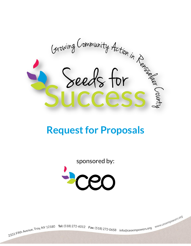Growing Community Action in Region

# **Request for Proposals**

sponsored by:



2331 Fifth Avenue, Troy, NY 12180 Tel: (518) 272-6012 Fax: (518) 272-0658 info@ceoempowers.org www.ceoempowers.org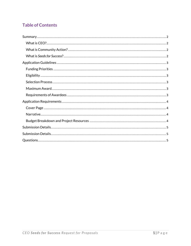# **Table of Contents**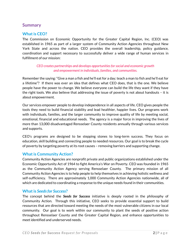## <span id="page-2-0"></span>**Summary**

#### <span id="page-2-1"></span>**What is CEO?**

The Commission on Economic Opportunity for the Greater Capital Region, Inc. (CEO) was established in 1965 as part of a larger system of Community Action Agencies throughout New York State and across the nation. CEO provides the overall leadership, policy guidance, coordination and support necessary to successfully deliver a wide range of human services in fulfillment of our mission:

#### *CEO creates partnerships and develops opportunities for social and economic growth and empowerment in individuals, families, and communities.*

Remember the saying: "Give a man a fish and he'll eat for a day; teach a man to fish and he'll eat for a lifetime"? If there was ever an idea that defines what CEO does, that is the one. We believe people have the power to change. We believe everyone can build the life they want if they have the right tools. We also believe that addressing the issue of poverty is not about handouts – it is about empowerment.

Our services empower people to develop independence in all aspects of life. CEO gives people the tools they need to build financial stability and lead healthier, happier lives. Our programs work with individuals, families, and the larger community to improve quality of life by meeting social, emotional, financial and educational needs. The agency is a major force in improving the lives of more than 13,000 disadvantaged Rensselaer County residents annually through various services and supports.

CEO's programs are designed to be stepping stones to long-term success. They focus on education, skill building and connecting people to needed resources. Our goal is to break the cycle of poverty by targeting poverty at its root causes – removing barriers and supporting change.

#### <span id="page-2-2"></span>**What is Community Action?**

Community Action Agencies are nonprofit private and public organizations established under the Economic Opportunity Act of 1964 to fight America's War on Poverty. CEO was founded in 1965 as the Community Action Agency serving Rensselaer County. The primary mission of all Community Action Agencies is to help people to help themselves in achieving holistic wellness and self-sufficiency. There are approximately 1,000 Community Action Agencies nationwide, all of which are dedicated to coordinating a response to the unique needs found in their communities.

#### <span id="page-2-3"></span>**What is** *Seeds for Success***?**

The concept behind the *Seeds for Success* initiative is deeply rooted in the philosophy of Community Action. Through this initiative, CEO seeks to provide essential support to build resources that are directed toward meeting the needs of the most vulnerable citizens in our local community. Our goal is to work within our community to plant the seeds of positive action throughout Rensselaer County and the Greater Capital Region, and enhance opportunities to meet identified and underserved needs.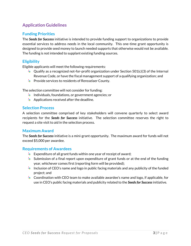# <span id="page-3-0"></span>**Application Guidelines**

# <span id="page-3-1"></span>**Funding Priorities**

The *Seeds for Success* initiative is intended to provide funding support to organizations to provide essential services to address needs in the local community. This one-time grant opportunity is designed to provide seed money to launch needed supports that otherwise would not be available. The funding is not intended to supplant existing funding sources.

### <span id="page-3-2"></span>**Eligibility**

Eligible applicants will meet the following requirements:

- $\frac{1}{2}$  Qualify as a recognized not-for-profit organization under Section 501(c)(3) of the Internal Revenue Code, or have the fiscal management support of a qualifying organization; and
- Provide services to residents of Rensselaer County.

The selection committee will not consider for funding:

- $\frac{1}{2}$  Individuals, foundations, or government agencies; or
- $\triangleq$  Applications received after the deadline.

#### <span id="page-3-3"></span>**Selection Process**

A selection committee comprised of key stakeholders will convene quarterly to select award recipients for the *Seeds for Success* initiative. The selection committee reserves the right to request a site visit to aid in the selection process.

#### <span id="page-3-4"></span>**Maximum Award**

The *Seeds for Success* initiative is a mini-grant opportunity. The maximum award for funds will not exceed \$5,000 per awardee.

#### <span id="page-3-5"></span>**Requirements of Awardees**

- $\frac{1}{2}$  Expenditure of all grant funds within one year of receipt of award;
- $\frac{1}{2}$  Submission of a final report upon expenditure of grant funds or at the end of the funding year, whichever comes first (reporting form will be provided);
- Inclusion of CEO's name and logo in public facing materials and any publicity of the funded project; and
- Coordination with CEO team to make available awardee's name and logo, if applicable, for use in CEO's public facing materials and publicity related to the *Seeds for Success*initiative.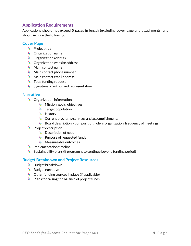# <span id="page-4-0"></span>**Application Requirements**

Applications should not exceed 5 pages in length (excluding cover page and attachments) and should include the following:

#### <span id="page-4-1"></span>**Cover Page**

- **Project title**
- $\bigtriangledown$  Organization name
- **S** Organization address
- **S** Organization website address
- $\frac{1}{2}$  Main contact name
- **Main contact phone number**
- **Main contact email address**
- $\frac{1}{2}$  Total funding request
- Signature of authorized representative

#### <span id="page-4-2"></span>**Narrative**

- $\triangle$  Organization information
	- **Mission, goals, objectives**
	- $\frac{1}{2}$  Target population
	- $\frac{1}{2}$  History
	- **Current programs/services and accomplishments**
	- $\frac{1}{2}$  Board description composition, role in organization, frequency of meetings
- **Project description** 
	- **Description of need**
	- Purpose of requested funds
	- $\triangleq$  Measureable outcomes
- $\frac{1}{2}$  Implementation timeline
- $\cdot$  Sustainability plans (if program is to continue beyond funding period)

#### <span id="page-4-3"></span>**Budget Breakdown and Project Resources**

- $\frac{1}{2}$  Budget breakdown
- $\frac{1}{2}$  Budget narrative
- $\bigtriangledown$  Other funding sources in place (if applicable)
- $\bigtriangledown$  Plans for raising the balance of project funds